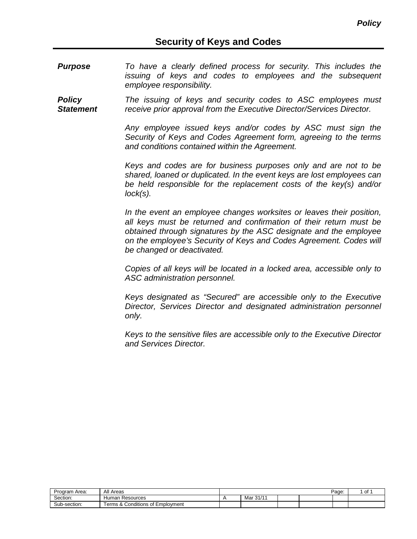*Purpose To have a clearly defined process for security. This includes the issuing of keys and codes to employees and the subsequent employee responsibility.*

*Policy Statement The issuing of keys and security codes to ASC employees must receive prior approval from the Executive Director/Services Director.*

> *Any employee issued keys and/or codes by ASC must sign the Security of Keys and Codes Agreement form, agreeing to the terms and conditions contained within the Agreement.*

> *Keys and codes are for business purposes only and are not to be shared, loaned or duplicated. In the event keys are lost employees can be held responsible for the replacement costs of the key(s) and/or lock(s).*

> *In the event an employee changes worksites or leaves their position, all keys must be returned and confirmation of their return must be obtained through signatures by the ASC designate and the employee on the employee's Security of Keys and Codes Agreement. Codes will be changed or deactivated.*

> *Copies of all keys will be located in a locked area, accessible only to ASC administration personnel.*

> *Keys designated as "Secured" are accessible only to the Executive Director, Services Director and designated administration personnel only.*

> *Keys to the sensitive files are accessible only to the Executive Director and Services Director.*

| Program Area: | All Areas                               |                        |  | Page: | оf |
|---------------|-----------------------------------------|------------------------|--|-------|----|
| Section:      | Resources<br>Human                      | .0111<br>Mar<br>ا /ا ب |  |       |    |
| Sub-section:  | Conditions of<br>: Emplovment<br>erms & |                        |  |       |    |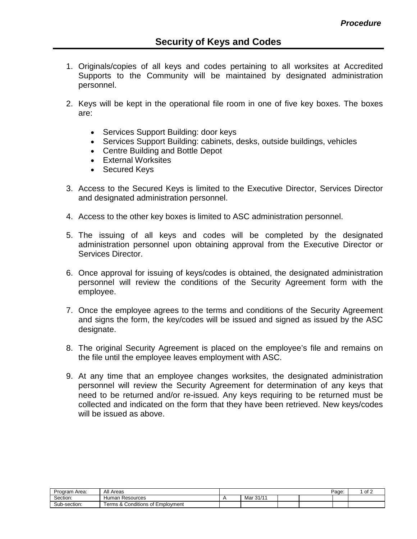- 1. Originals/copies of all keys and codes pertaining to all worksites at Accredited Supports to the Community will be maintained by designated administration personnel.
- 2. Keys will be kept in the operational file room in one of five key boxes. The boxes are:
	- Services Support Building: door keys
	- Services Support Building: cabinets, desks, outside buildings, vehicles
	- Centre Building and Bottle Depot
	- External Worksites
	- Secured Keys
- 3. Access to the Secured Keys is limited to the Executive Director, Services Director and designated administration personnel.
- 4. Access to the other key boxes is limited to ASC administration personnel.
- 5. The issuing of all keys and codes will be completed by the designated administration personnel upon obtaining approval from the Executive Director or Services Director.
- 6. Once approval for issuing of keys/codes is obtained, the designated administration personnel will review the conditions of the Security Agreement form with the employee.
- 7. Once the employee agrees to the terms and conditions of the Security Agreement and signs the form, the key/codes will be issued and signed as issued by the ASC designate.
- 8. The original Security Agreement is placed on the employee's file and remains on the file until the employee leaves employment with ASC.
- 9. At any time that an employee changes worksites, the designated administration personnel will review the Security Agreement for determination of any keys that need to be returned and/or re-issued. Any keys requiring to be returned must be collected and indicated on the form that they have been retrieved. New keys/codes will be issued as above.

| Program Area: | All Areas                               |          |  | Page: | of 2 |
|---------------|-----------------------------------------|----------|--|-------|------|
| Section:      | ⊦ Resources<br>Human                    | Mar 31/1 |  |       |      |
| Sub-section:  | & Conditions of Employment<br>⊺erms & t |          |  |       |      |